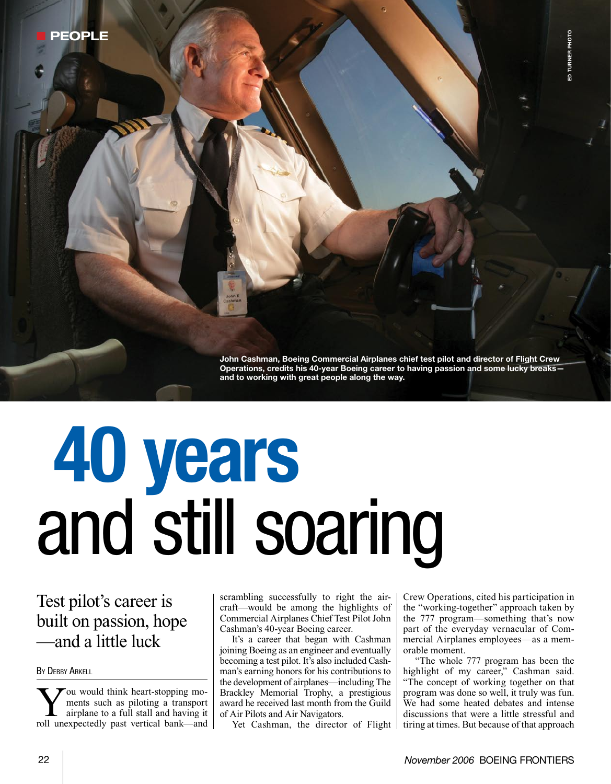John Cashman, Boeing Commercial Airplanes chief test pilot and director of Flight Crew Operations, credits his 40-year Boeing career to having passion and some lucky breaks and to working with great people along the way.

# 40 years and still soaring

## Test pilot's career is built on passion, hope —and a little luck

**BY DEBBY ARKELL** 

**W** ou would think heart-stopping mo-<br>
ments such as piloting a transport<br>
airplane to a full stall and having it<br>
roll unexpectedly nest vertical bank and ments such as piloting a transport roll unexpectedly past vertical bank—and scrambling successfully to right the aircraft—would be among the highlights of Commercial Airplanes Chief Test Pilot John Cashman's 40-year Boeing career.

It's a career that began with Cashman joining Boeing as an engineer and eventually becoming a test pilot. It's also included Cashman's earning honors for his contributions to the development of airplanes—including The Brackley Memorial Trophy, a prestigious award he received last month from the Guild of Air Pilots and Air Navigators.

Yet Cashman, the director of Flight

Crew Operations, cited his participation in the "working-together" approach taken by the 777 program—something that's now part of the everyday vernacular of Commercial Airplanes employees—as a memorable moment.

"The whole 777 program has been the highlight of my career," Cashman said. "The concept of working together on that program was done so well, it truly was fun. We had some heated debates and intense discussions that were a little stressful and tiring at times. But because of that approach